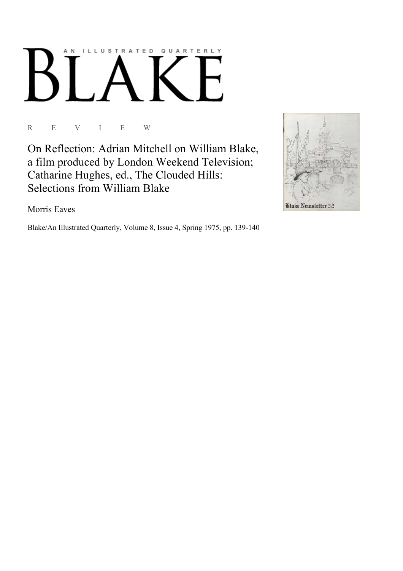## AN ILLUSTRATED QUARTERLY Ӄ

R E V I E W

On Reflection: Adrian Mitchell on William Blake, a film produced by London Weekend Television; Catharine Hughes, ed., The Clouded Hills: Selections from William Blake

Morris Eaves

Blake/An Illustrated Quarterly, Volume 8, Issue 4, Spring 1975, pp. 139-140

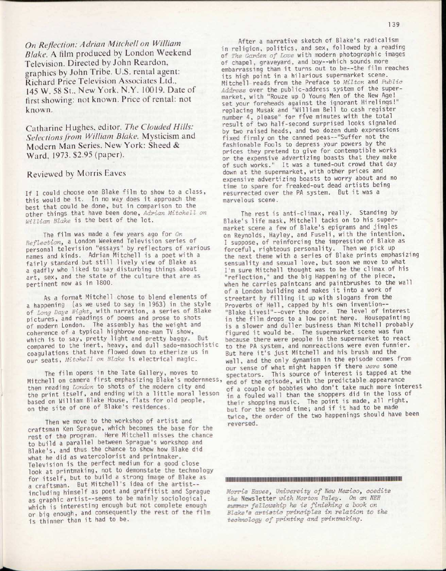*On Reflection: Adrian Mitchell on William Blake.* A film produced by London Weekend Television. Directed by John Reardon, graphics by John Tribe. U.S. rental agent: Richard Price Television Associates Ltd., 145 W. 58 St., New York, N.Y. 10019. Date of first showing: not known. Price of rental: not known.

Catharine Hughes, editor. *The Clouded Hills: Selections from William Blake.* Mysticism and Modern Man Series. New York: Sheed & Ward. 1973. \$2.95 (paper).

## Reviewed by Morris Eaves

If I could choose one Blake film to show to a class, this would be it. In no way does it approach the best that could be done, but in comparison to the other things that have been done, *Adrian Mitchell on William Blake* is the best of the lot.

The film was made a few years ago for *On Reflection,* a London Weekend Television series of personal television "essays" by reflectors of various names and kinds. Adrian Mitchell is a poet with a fairly standard but still lively view of Blake as a gadfly who liked to say disturbing things about art, sex, and the state of the culture that are as pertinent now as in 1800.

As a format Mitchell chose to blend elements of a happening (as we used to say in 1963) in the style of *Long Days Nights* with narration, a series of Blake pictures, and readings of poems and prose to shots of modern London. The assembly has the weight and coherence of a typical highbrow one-man TV show, which is to say, pretty light and pretty baggy. But compared to the inert, heavy, and dull sado-masochistic coagulations that have flowed down to etherize us in our seats, *Mitchell on Blake* is electrical magic.

The film opens in the Tate Gallery, moves to Mitchell on camera first emphasizing Blake's modernness then reading *London* to shots of the modern city and the print itself, and ending with a little moral lesson based on William Blake House, flats for old people, on the site of one of Blake's residences.

Then we move to the workshop of artist and craftsman Ken Sprague, which becomes the base for the rest of the program. Here Mitchell misses the chance to build a parallel between Sprague's workshop and Blake's, and thus the chance to show how Blake did what he did as watercolorist and printmaker. Television is the perfect medium for a good close look at printmaking, not to demonstate the technology for itself, but to build a strong image of Blake as a craftsman. But Mitchell's idea of the artistincluding himself as poet and graffitist and Sprague as graphic artist--seems to be mainly sociological, which is interesting enough but not complete enough or big enough, and consequently the rest of the film is thinner than it had to be.

After a narrative sketch of Blake's radicalism in religion, politics, and sex, followed by a reading of *The Garden of Love* with modern photographic images of chapel, graveyard, and boy—which sounds more embarrassing than it turns out to be—the film reaches its high point in a hilarious supermarket scene. Mitchell reads from the Preface to *Milton* and *Public Address* over the public-address system of the supermarket, with "Rouze up 0 Young Men of the New Age! set your foreheads against the ignorant Hirelings!" replacing Musak and "William Bell to cash register number 4, please" for ffve minutes with the total result of two half-second surprised looks signaled by two raised heads, and two dozen dumb expressions fixed firmly on the canned peas -- "Suffer not the fashionable Fools to depress your powers by the prices they pretend to give for contemptible works or the expensive advertizing boasts that they make of such works." It was a tuned-out crowd that day down at the supermarket, with other prices and expensive advertizing boasts to worry about and no time to spare for freaked-out dead artists being resurrected over the PA system. But it was a marvelous scene.

The rest is anti-climax, really. Standing by Blake's life mask, Mitchell tacks on to his supermarket scene a few of Blake's epigrams and jingles on Reynolds, Hayley, and Fuseli, with the intention, I suppose, of reinforcing the impression of Blake as forceful, righteous personality. Then we pick up the next theme with a series of Blake prints emphasizing sensuality and sexual love, but soon we move to what I'm sure Mitchell thought was to be the climax of his "reflection," and the big Happening of the piece, when he carries paintcans and paintbrushes to the wall of a London building and makes it into a work of streetart by filling it up with slogans from the Proverbs of Hell, capped by his own invention--"Blake Lives!"—over the door. The level of interest in the film drops to a low point here. Housepainting is a slower and duller business than Mitchell probably figured it would be. The supermarket scene was fun because there were people in the supermarket to react to the PA system, and nonreactions were even funnier. But here it's just Mitchell and his brush and the wall, and the only dynamism in the episode comes from our sense of what might happen if there *were* some spectators. This source of interest is tapped at the end of the episode, with the predictable appearance of a couple of bobbies who don't take much more interest in a fouled wall than the shoppers did in the loss of their shopping music. The point is made, all right, but for the second time; and if it had to be made twice, the order of the two happenings should have been reversed.

## 

*Morris Eaves, University of New Mexico, coedits the* Newsletter *with Morton Paley. On an NEH summer fellowship he is finishing a book on Blake's artistic principles in relation to the technology of printing and printmaking.*